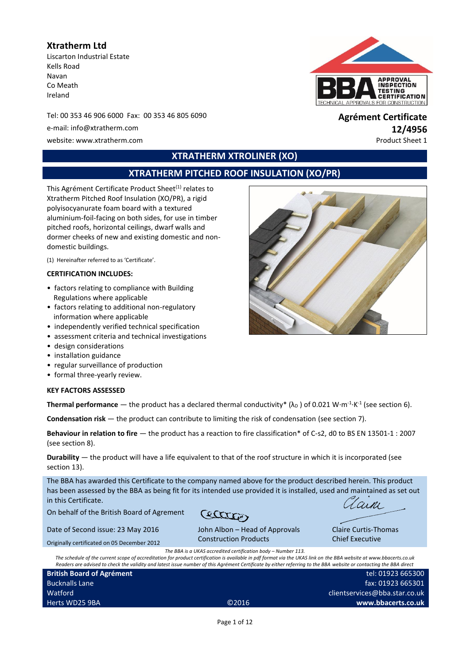# **Xtratherm Ltd**

Liscarton Industrial Estate Kells Road Navan Co Meath Ireland

Tel: 00 353 46 906 6000 Fax: 00 353 46 805 6090 **Agrément Certificate**

website: www.xtratherm.com example of the example of the example of the example of the example of the example of the example of the example of the example of the example of the example of the example of the example of the



# e-mail: info@xtratherm.com **12/4956**

# **XTRATHERM XTROLINER (XO)**

# **XTRATHERM PITCHED ROOF INSULATION (XO/PR)**

This Agrément Certificate Product Sheet<sup>(1)</sup> relates to Xtratherm Pitched Roof Insulation (XO/PR), a rigid polyisocyanurate foam board with a textured aluminium-foil-facing on both sides, for use in timber pitched roofs, horizontal ceilings, dwarf walls and dormer cheeks of new and existing domestic and nondomestic buildings.

(1) Hereinafter referred to as 'Certificate'.

#### **CERTIFICATION INCLUDES:**

- factors relating to compliance with Building Regulations where applicable
- factors relating to additional non-regulatory information where applicable
- independently verified technical specification
- assessment criteria and technical investigations
- design considerations
- installation guidance
- regular surveillance of production
- formal three-yearly review.

#### **KEY FACTORS ASSESSED**

**Thermal performance** — the product has a declared thermal conductivity\* ( $\lambda_D$  ) of 0.021 W·m<sup>-1</sup>·K<sup>-1</sup> (see section 6).

**Condensation risk** — the product can contribute to limiting the risk of condensation (see section 7).

**Behaviour in relation to fire** — the product has a reaction to fire classification\* of C-s2, d0 to BS EN 13501-1 : 2007 (see section 8).

**Durability** — the product will have a life equivalent to that of the roof structure in which it is incorporated (see section 13).

The BBA has awarded this Certificate to the company named above for the product described herein. This product has been assessed by the BBA as being fit for its intended use provided it is installed, used and maintained as set out in this Certificate.

On behalf of the British Board of Agrement

Date of Second issue: 23 May 2016 Originally certificated on 05 December 2012

Buc  $W_{\tilde{e}}$ 

 $\pi$ 

arni.

Claire Curtis-Thomas Chief Executive

> 923 665300 923 665301 a.star.co.uk **www.bbacerts.co.uk**

*The BBA is a UKAS accredited certification body – Number 113. The schedule of the current scope of accreditation for product certification is available in pdf format via the UKAS link on the BBA website at www.bbacerts.co.uk Readers are advised to check the validity and latest issue number of this Agrément Certificate by either referring to the BBA website or contacting the BBA direct*

Construction Products

John Albon – Head of Approvals

| Readers are advised to check the validity and latest issue number of this Agrement Certificate by either referring to the BBA website or contacting th |                   |                   |
|--------------------------------------------------------------------------------------------------------------------------------------------------------|-------------------|-------------------|
| <b>British Board of Agrément</b>                                                                                                                       |                   | tel: $01$         |
| <b>Bucknalls Lane</b>                                                                                                                                  |                   | fax: $01$         |
| Watford                                                                                                                                                |                   | clientservices@bb |
| Herts WD25 9BA                                                                                                                                         | C <sub>2016</sub> | www.bba           |
|                                                                                                                                                        |                   |                   |

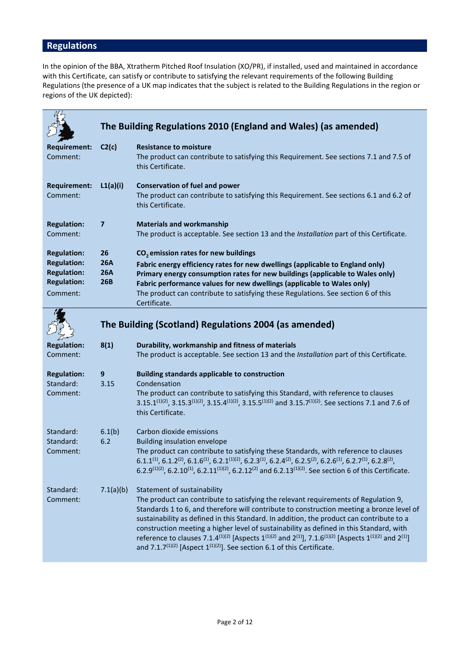# **Regulations**

In the opinion of the BBA, Xtratherm Pitched Roof Insulation (XO/PR), if installed, used and maintained in accordance with this Certificate, can satisfy or contribute to satisfying the relevant requirements of the following Building Regulations (the presence of a UK map indicates that the subject is related to the Building Regulations in the region or regions of the UK depicted):

|                                                                                                  |                                       | The Building Regulations 2010 (England and Wales) (as amended)                                                                                                                                                                                                                                                                                                                                                                                                                                                                                                                                                                                                                      |
|--------------------------------------------------------------------------------------------------|---------------------------------------|-------------------------------------------------------------------------------------------------------------------------------------------------------------------------------------------------------------------------------------------------------------------------------------------------------------------------------------------------------------------------------------------------------------------------------------------------------------------------------------------------------------------------------------------------------------------------------------------------------------------------------------------------------------------------------------|
| <b>Requirement:</b><br>Comment:                                                                  | C2(c)                                 | <b>Resistance to moisture</b><br>The product can contribute to satisfying this Requirement. See sections 7.1 and 7.5 of<br>this Certificate.                                                                                                                                                                                                                                                                                                                                                                                                                                                                                                                                        |
| <b>Requirement:</b><br>Comment:                                                                  | L1(a)(i)                              | <b>Conservation of fuel and power</b><br>The product can contribute to satisfying this Requirement. See sections 6.1 and 6.2 of<br>this Certificate.                                                                                                                                                                                                                                                                                                                                                                                                                                                                                                                                |
| <b>Regulation:</b><br>Comment:                                                                   | $\overline{\mathbf{z}}$               | <b>Materials and workmanship</b><br>The product is acceptable. See section 13 and the Installation part of this Certificate.                                                                                                                                                                                                                                                                                                                                                                                                                                                                                                                                                        |
| <b>Regulation:</b><br><b>Regulation:</b><br><b>Regulation:</b><br><b>Regulation:</b><br>Comment: | 26<br><b>26A</b><br><b>26A</b><br>26B | $CO2$ emission rates for new buildings<br>Fabric energy efficiency rates for new dwellings (applicable to England only)<br>Primary energy consumption rates for new buildings (applicable to Wales only)<br>Fabric performance values for new dwellings (applicable to Wales only)<br>The product can contribute to satisfying these Regulations. See section 6 of this<br>Certificate.                                                                                                                                                                                                                                                                                             |
|                                                                                                  |                                       | The Building (Scotland) Regulations 2004 (as amended)                                                                                                                                                                                                                                                                                                                                                                                                                                                                                                                                                                                                                               |
| <b>Regulation:</b><br>Comment:                                                                   | 8(1)                                  | Durability, workmanship and fitness of materials<br>The product is acceptable. See section 13 and the Installation part of this Certificate.                                                                                                                                                                                                                                                                                                                                                                                                                                                                                                                                        |
| <b>Regulation:</b><br>Standard:<br>Comment:                                                      | 9<br>3.15                             | <b>Building standards applicable to construction</b><br>Condensation<br>The product can contribute to satisfying this Standard, with reference to clauses<br>3.15.1 <sup>(1)(2)</sup> , 3.15.3 <sup>(1)(2)</sup> , 3.15.4 <sup>(1)(2)</sup> , 3.15.5 <sup>(1)(2)</sup> and 3.15.7 <sup>(1)(2)</sup> . See sections 7.1 and 7.6 of<br>this Certificate.                                                                                                                                                                                                                                                                                                                              |
| Standard:<br>Standard:<br>Comment:                                                               | 6.1(b)<br>6.2                         | Carbon dioxide emissions<br><b>Building insulation envelope</b><br>The product can contribute to satisfying these Standards, with reference to clauses<br>$6.1.1^{(1)}$ , $6.1.2^{(2)}$ , $6.1.6^{(1)}$ , $6.2.1^{(1)(2)}$ , $6.2.3^{(1)}$ , $6.2.4^{(2)}$ , $6.2.5^{(2)}$ , $6.2.6^{(1)}$ , $6.2.7^{(1)}$ , $6.2.8^{(2)}$ ,<br>6.2.9(1)(2), 6.2.10(1), 6.2.11(1)(2), 6.2.12(2) and 6.2.13(1)(2). See section 6 of this Certificate.                                                                                                                                                                                                                                                |
| Standard:<br>Comment:                                                                            | 7.1(a)(b)                             | Statement of sustainability<br>The product can contribute to satisfying the relevant requirements of Regulation 9,<br>Standards 1 to 6, and therefore will contribute to construction meeting a bronze level of<br>sustainability as defined in this Standard. In addition, the product can contribute to a<br>construction meeting a higher level of sustainability as defined in this Standard, with<br>reference to clauses 7.1.4 <sup>(1)(2)</sup> [Aspects 1 <sup>(1)(2)</sup> and 2 <sup>(1)</sup> ], 7.1.6 <sup>(1)(2)</sup> [Aspects 1 <sup>(1)(2)</sup> and 2 <sup>(1)</sup> ]<br>and 7.1.7 <sup>(1)(2)</sup> [Aspect $1^{(1)(2)}$ ]. See section 6.1 of this Certificate. |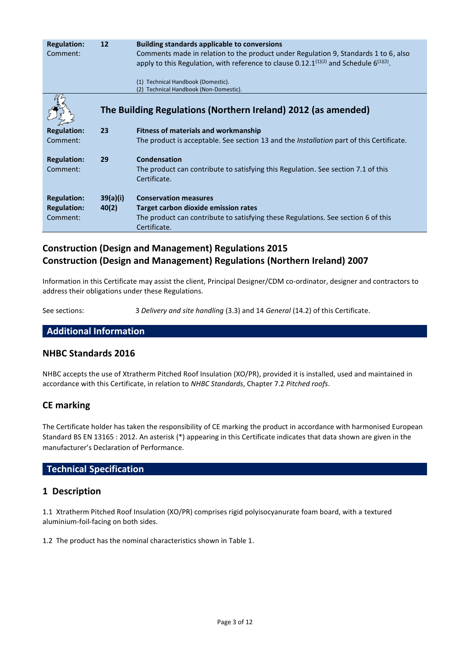| <b>Regulation:</b><br>Comment: | $12 \overline{ }$ | <b>Building standards applicable to conversions</b><br>Comments made in relation to the product under Regulation 9, Standards 1 to 6, also<br>apply to this Regulation, with reference to clause 0.12.1 <sup>(1)(2)</sup> and Schedule 6 <sup>(1)(2)</sup> .<br>Technical Handbook (Domestic).<br>(1)<br>Technical Handbook (Non-Domestic).<br>(2) |
|--------------------------------|-------------------|----------------------------------------------------------------------------------------------------------------------------------------------------------------------------------------------------------------------------------------------------------------------------------------------------------------------------------------------------|
|                                |                   | The Building Regulations (Northern Ireland) 2012 (as amended)                                                                                                                                                                                                                                                                                      |
| <b>Regulation:</b>             | 23                | <b>Fitness of materials and workmanship</b>                                                                                                                                                                                                                                                                                                        |
| Comment:                       |                   | The product is acceptable. See section 13 and the <i>Installation</i> part of this Certificate.                                                                                                                                                                                                                                                    |
| <b>Regulation:</b>             | 29                | Condensation                                                                                                                                                                                                                                                                                                                                       |
| Comment:                       |                   | The product can contribute to satisfying this Regulation. See section 7.1 of this<br>Certificate.                                                                                                                                                                                                                                                  |
| <b>Regulation:</b>             | 39(a)(i)          | <b>Conservation measures</b>                                                                                                                                                                                                                                                                                                                       |
| <b>Regulation:</b>             | 40(2)             | Target carbon dioxide emission rates                                                                                                                                                                                                                                                                                                               |
| Comment:                       |                   | The product can contribute to satisfying these Regulations. See section 6 of this<br>Certificate.                                                                                                                                                                                                                                                  |

# **Construction (Design and Management) Regulations 2015 Construction (Design and Management) Regulations (Northern Ireland) 2007**

Information in this Certificate may assist the client, Principal Designer/CDM co-ordinator, designer and contractors to address their obligations under these Regulations.

See sections: 3 *Delivery and site handling* (3.3) and 14 *General* (14.2) of this Certificate.

**Additional Information**

# **NHBC Standards 2016**

NHBC accepts the use of Xtratherm Pitched Roof Insulation (XO/PR), provided it is installed, used and maintained in accordance with this Certificate, in relation to *NHBC Standards*, Chapter 7.2 *Pitched roofs*.

# **CE marking**

The Certificate holder has taken the responsibility of CE marking the product in accordance with harmonised European Standard BS EN 13165 : 2012. An asterisk (\*) appearing in this Certificate indicates that data shown are given in the manufacturer's Declaration of Performance.

## **Technical Specification**

## **1 Description**

1.1 Xtratherm Pitched Roof Insulation (XO/PR) comprises rigid polyisocyanurate foam board, with a textured aluminium-foil-facing on both sides.

1.2 The product has the nominal characteristics shown in Table 1.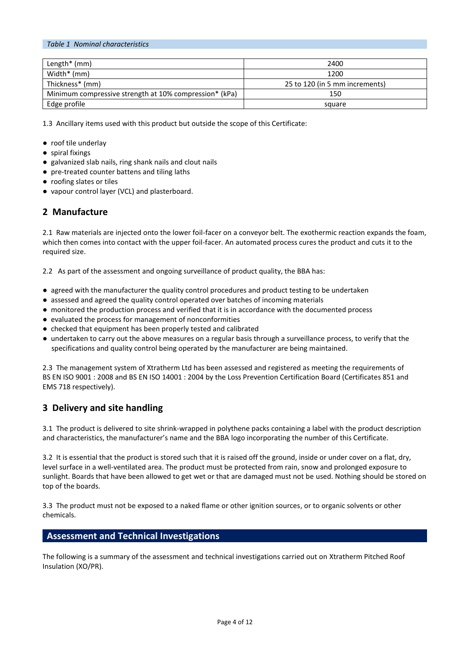| Length $*$ (mm)                                        | 2400                           |
|--------------------------------------------------------|--------------------------------|
| Width* (mm)                                            | 1200                           |
| Thickness* (mm)                                        | 25 to 120 (in 5 mm increments) |
| Minimum compressive strength at 10% compression* (kPa) | 150                            |
| Edge profile                                           | square                         |

1.3 Ancillary items used with this product but outside the scope of this Certificate:

● roof tile underlay

*Table 1 Nominal characteristics*

- spiral fixings
- galvanized slab nails, ring shank nails and clout nails
- pre-treated counter battens and tiling laths
- roofing slates or tiles
- vapour control layer (VCL) and plasterboard.

# **2 Manufacture**

2.1 Raw materials are injected onto the lower foil-facer on a conveyor belt. The exothermic reaction expands the foam, which then comes into contact with the upper foil-facer. An automated process cures the product and cuts it to the required size.

2.2 As part of the assessment and ongoing surveillance of product quality, the BBA has:

- agreed with the manufacturer the quality control procedures and product testing to be undertaken
- assessed and agreed the quality control operated over batches of incoming materials
- monitored the production process and verified that it is in accordance with the documented process
- evaluated the process for management of nonconformities
- checked that equipment has been properly tested and calibrated
- undertaken to carry out the above measures on a regular basis through a surveillance process, to verify that the specifications and quality control being operated by the manufacturer are being maintained.

2.3 The management system of Xtratherm Ltd has been assessed and registered as meeting the requirements of BS EN ISO 9001 : 2008 and BS EN ISO 14001 : 2004 by the Loss Prevention Certification Board (Certificates 851 and EMS 718 respectively).

# **3 Delivery and site handling**

3.1 The product is delivered to site shrink-wrapped in polythene packs containing a label with the product description and characteristics, the manufacturer's name and the BBA logo incorporating the number of this Certificate.

3.2 It is essential that the product is stored such that it is raised off the ground, inside or under cover on a flat, dry, level surface in a well-ventilated area. The product must be protected from rain, snow and prolonged exposure to sunlight. Boards that have been allowed to get wet or that are damaged must not be used. Nothing should be stored on top of the boards.

3.3 The product must not be exposed to a naked flame or other ignition sources, or to organic solvents or other chemicals.

## **Assessment and Technical Investigations**

The following is a summary of the assessment and technical investigations carried out on Xtratherm Pitched Roof Insulation (XO/PR).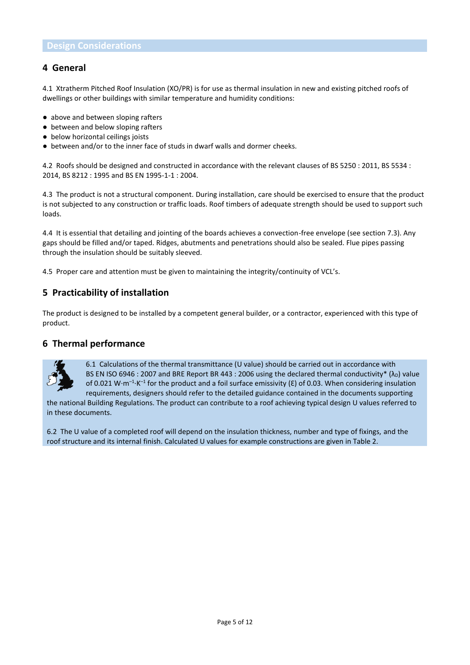## **4 General**

4.1 Xtratherm Pitched Roof Insulation (XO/PR) is for use as thermal insulation in new and existing pitched roofs of dwellings or other buildings with similar temperature and humidity conditions:

- above and between sloping rafters
- between and below sloping rafters
- below horizontal ceilings joists
- between and/or to the inner face of studs in dwarf walls and dormer cheeks.

4.2 Roofs should be designed and constructed in accordance with the relevant clauses of BS 5250 : 2011, BS 5534 : 2014, BS 8212 : 1995 and BS EN 1995-1-1 : 2004.

4.3 The product is not a structural component. During installation, care should be exercised to ensure that the product is not subjected to any construction or traffic loads. Roof timbers of adequate strength should be used to support such loads.

4.4 It is essential that detailing and jointing of the boards achieves a convection-free envelope (see section 7.3). Any gaps should be filled and/or taped. Ridges, abutments and penetrations should also be sealed. Flue pipes passing through the insulation should be suitably sleeved.

4.5 Proper care and attention must be given to maintaining the integrity/continuity of VCL's.

# **5 Practicability of installation**

The product is designed to be installed by a competent general builder, or a contractor, experienced with this type of product.

## **6 Thermal performance**



6.1 Calculations of the thermal transmittance (U value) should be carried out in accordance with BS EN ISO 6946 : 2007 and BRE Report BR 443 : 2006 using the declared thermal conductivity\* ( $\lambda_D$ ) value of 0.021 W·m<sup>-1</sup>·K<sup>-1</sup> for the product and a foil surface emissivity ( $\epsilon$ ) of 0.03. When considering insulation requirements, designers should refer to the detailed guidance contained in the documents supporting

the national Building Regulations. The product can contribute to a roof achieving typical design U values referred to in these documents.

6.2 The U value of a completed roof will depend on the insulation thickness, number and type of fixings, and the roof structure and its internal finish. Calculated U values for example constructions are given in Table 2.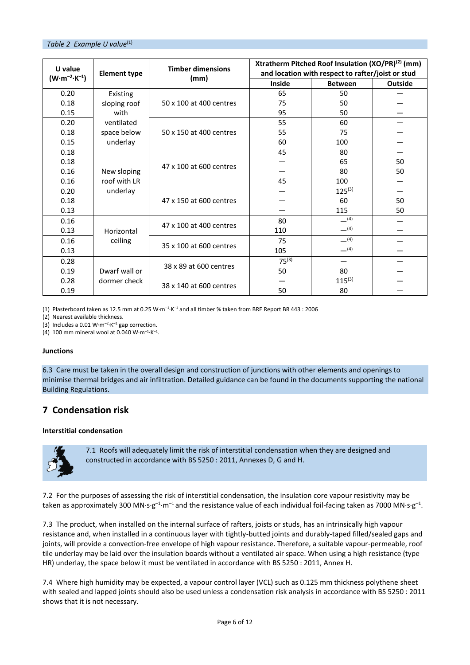| U value                         | <b>Element type</b> | <b>Timber dimensions</b> | Xtratherm Pitched Roof Insulation $(XO/PR)^{(2)}$ (mm)<br>and location with respect to rafter/joist or stud |                |                |
|---------------------------------|---------------------|--------------------------|-------------------------------------------------------------------------------------------------------------|----------------|----------------|
| $(W \cdot m^{-2} \cdot K^{-1})$ |                     | (mm)                     | <b>Inside</b>                                                                                               | <b>Between</b> | <b>Outside</b> |
| 0.20                            | Existing            |                          | 65                                                                                                          | 50             |                |
| 0.18                            | sloping roof        | 50 x 100 at 400 centres  | 75                                                                                                          | 50             |                |
| 0.15                            | with                |                          | 95                                                                                                          | 50             |                |
| 0.20                            | ventilated          |                          | 55                                                                                                          | 60             |                |
| 0.18                            | space below         | 50 x 150 at 400 centres  | 55                                                                                                          | 75             |                |
| 0.15                            | underlay            |                          | 60                                                                                                          | 100            |                |
| 0.18                            |                     |                          | 45                                                                                                          | 80             |                |
| 0.18                            | New sloping         | 47 x 100 at 600 centres  |                                                                                                             | 65             | 50             |
| 0.16                            |                     |                          |                                                                                                             | 80             | 50             |
| 0.16                            | roof with LR        |                          | 45                                                                                                          | 100            |                |
| 0.20                            | underlay            |                          |                                                                                                             | $125^{(3)}$    |                |
| 0.18                            |                     | 47 x 150 at 600 centres  |                                                                                                             | 60             | 50             |
| 0.13                            |                     |                          |                                                                                                             | 115            | 50             |
| 0.16                            | Horizontal          | 47 x 100 at 400 centres  | 80                                                                                                          | $-^{(4)}$      |                |
| 0.13                            |                     |                          | 110                                                                                                         | $-^{(4)}$      |                |
| 0.16                            | ceiling             |                          | 75                                                                                                          | $-^{(4)}$      |                |
| 0.13                            |                     | 35 x 100 at 600 centres  | 105                                                                                                         | $-^{(4)}$      |                |
| 0.28                            |                     | 38 x 89 at 600 centres   | $75^{(3)}$                                                                                                  |                |                |
| 0.19                            | Dwarf wall or       |                          | 50                                                                                                          | 80             |                |
| 0.28                            | dormer check        |                          |                                                                                                             | $115^{(3)}$    |                |
| 0.19                            |                     | 38 x 140 at 600 centres  | 50                                                                                                          | 80             |                |

(1) Plasterboard taken as 12.5 mm at 0.25 W $\cdot$ m<sup>-1</sup> $\cdot$ K<sup>-1</sup> and all timber % taken from BRE Report BR 443 : 2006

(2) Nearest available thickness.

(3) Includes a 0.01 W $\cdot$ m<sup>-2</sup> $\cdot$ K<sup>-1</sup> gap correction.

(4) 100 mm mineral wool at 0.040 W·m<sup>-1</sup>·K<sup>-1</sup>.

#### **Junctions**

6.3 Care must be taken in the overall design and construction of junctions with other elements and openings to minimise thermal bridges and air infiltration. Detailed guidance can be found in the documents supporting the national Building Regulations.

# **7 Condensation risk**

#### **Interstitial condensation**



7.1 Roofs will adequately limit the risk of interstitial condensation when they are designed and constructed in accordance with BS 5250 : 2011, Annexes D, G and H.

7.2 For the purposes of assessing the risk of interstitial condensation, the insulation core vapour resistivity may be taken as approximately 300 MN·s·g<sup>-1</sup>·m<sup>-1</sup> and the resistance value of each individual foil-facing taken as 7000 MN·s·g<sup>-1</sup>.

7.3 The product, when installed on the internal surface of rafters, joists or studs, has an intrinsically high vapour resistance and, when installed in a continuous layer with tightly-butted joints and durably-taped filled/sealed gaps and joints, will provide a convection-free envelope of high vapour resistance. Therefore, a suitable vapour-permeable, roof tile underlay may be laid over the insulation boards without a ventilated air space. When using a high resistance (type HR) underlay, the space below it must be ventilated in accordance with BS 5250 : 2011, Annex H.

7.4 Where high humidity may be expected, a vapour control layer (VCL) such as 0.125 mm thickness polythene sheet with sealed and lapped joints should also be used unless a condensation risk analysis in accordance with BS 5250 : 2011 shows that it is not necessary.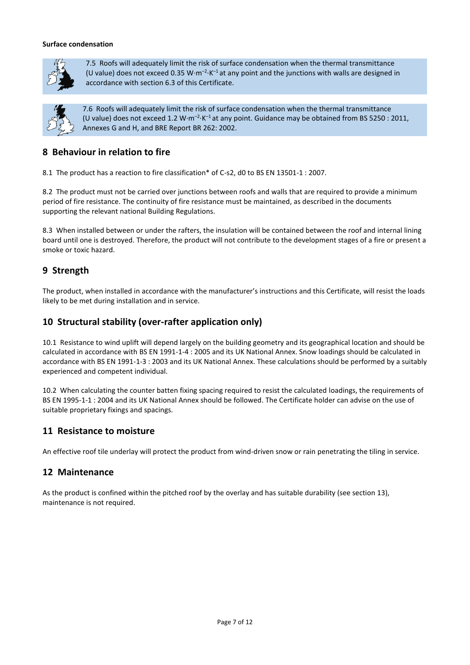#### **Surface condensation**



7.5 Roofs will adequately limit the risk of surface condensation when the thermal transmittance (U value) does not exceed 0.35 W·m<sup>-2</sup>·K<sup>-1</sup> at any point and the junctions with walls are designed in accordance with section 6.3 of this Certificate.



7.6 Roofs will adequately limit the risk of surface condensation when the thermal transmittance (U value) does not exceed 1.2 W·m<sup>-2</sup>·K<sup>-1</sup> at any point. Guidance may be obtained from BS 5250 : 2011, Annexes G and H, and BRE Report BR 262: 2002.

# **8 Behaviour in relation to fire**

8.1 The product has a reaction to fire classification\* of C-s2, d0 to BS EN 13501-1 : 2007.

8.2 The product must not be carried over junctions between roofs and walls that are required to provide a minimum period of fire resistance. The continuity of fire resistance must be maintained, as described in the documents supporting the relevant national Building Regulations.

8.3 When installed between or under the rafters, the insulation will be contained between the roof and internal lining board until one is destroyed. Therefore, the product will not contribute to the development stages of a fire or present a smoke or toxic hazard.

# **9 Strength**

The product, when installed in accordance with the manufacturer's instructions and this Certificate, will resist the loads likely to be met during installation and in service.

# **10 Structural stability (over-rafter application only)**

10.1 Resistance to wind uplift will depend largely on the building geometry and its geographical location and should be calculated in accordance with BS EN 1991-1-4 : 2005 and its UK National Annex. Snow loadings should be calculated in accordance with BS EN 1991-1-3 : 2003 and its UK National Annex. These calculations should be performed by a suitably experienced and competent individual.

10.2 When calculating the counter batten fixing spacing required to resist the calculated loadings, the requirements of BS EN 1995-1-1 : 2004 and its UK National Annex should be followed. The Certificate holder can advise on the use of suitable proprietary fixings and spacings.

## **11 Resistance to moisture**

An effective roof tile underlay will protect the product from wind-driven snow or rain penetrating the tiling in service.

## **12 Maintenance**

As the product is confined within the pitched roof by the overlay and has suitable durability (see section 13), maintenance is not required.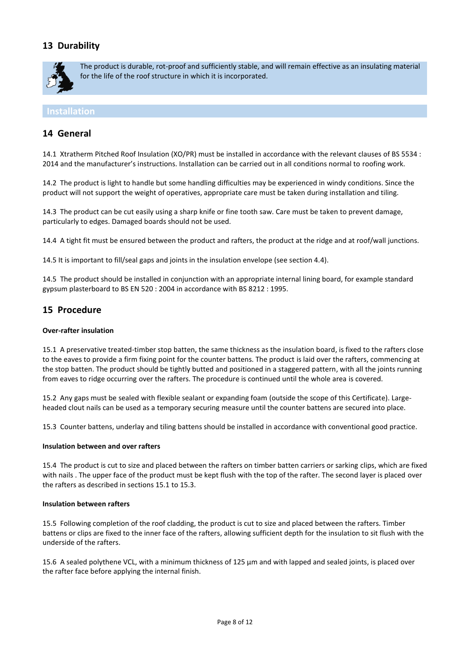# **13 Durability**



The product is durable, rot-proof and sufficiently stable, and will remain effective as an insulating material for the life of the roof structure in which it is incorporated.

#### **Installation**

## **14 General**

14.1 Xtratherm Pitched Roof Insulation (XO/PR) must be installed in accordance with the relevant clauses of BS 5534 : 2014 and the manufacturer's instructions. Installation can be carried out in all conditions normal to roofing work.

14.2 The product is light to handle but some handling difficulties may be experienced in windy conditions. Since the product will not support the weight of operatives, appropriate care must be taken during installation and tiling.

14.3 The product can be cut easily using a sharp knife or fine tooth saw. Care must be taken to prevent damage, particularly to edges. Damaged boards should not be used.

14.4 A tight fit must be ensured between the product and rafters, the product at the ridge and at roof/wall junctions.

14.5 It is important to fill/seal gaps and joints in the insulation envelope (see section 4.4).

14.5 The product should be installed in conjunction with an appropriate internal lining board, for example standard gypsum plasterboard to BS EN 520 : 2004 in accordance with BS 8212 : 1995.

## **15 Procedure**

#### **Over-rafter insulation**

15.1 A preservative treated-timber stop batten, the same thickness as the insulation board, is fixed to the rafters close to the eaves to provide a firm fixing point for the counter battens. The product is laid over the rafters, commencing at the stop batten. The product should be tightly butted and positioned in a staggered pattern, with all the joints running from eaves to ridge occurring over the rafters. The procedure is continued until the whole area is covered.

15.2 Any gaps must be sealed with flexible sealant or expanding foam (outside the scope of this Certificate). Largeheaded clout nails can be used as a temporary securing measure until the counter battens are secured into place.

15.3 Counter battens, underlay and tiling battens should be installed in accordance with conventional good practice.

#### **Insulation between and over rafters**

15.4 The product is cut to size and placed between the rafters on timber batten carriers or sarking clips, which are fixed with nails . The upper face of the product must be kept flush with the top of the rafter. The second layer is placed over the rafters as described in sections 15.1 to 15.3.

#### **Insulation between rafters**

15.5 Following completion of the roof cladding, the product is cut to size and placed between the rafters. Timber battens or clips are fixed to the inner face of the rafters, allowing sufficient depth for the insulation to sit flush with the underside of the rafters.

15.6 A sealed polythene VCL, with a minimum thickness of 125 μm and with lapped and sealed joints, is placed over the rafter face before applying the internal finish.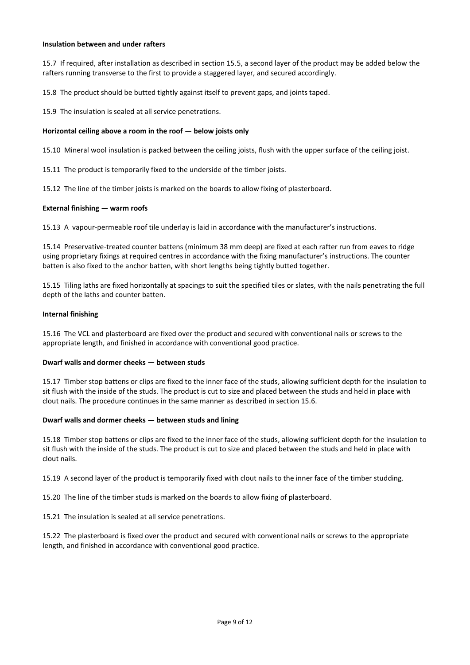#### **Insulation between and under rafters**

15.7 If required, after installation as described in section 15.5, a second layer of the product may be added below the rafters running transverse to the first to provide a staggered layer, and secured accordingly.

15.8 The product should be butted tightly against itself to prevent gaps, and joints taped.

15.9 The insulation is sealed at all service penetrations.

#### **Horizontal ceiling above a room in the roof**  $-$  **below joists only**

15.10 Mineral wool insulation is packed between the ceiling joists, flush with the upper surface of the ceiling joist.

15.11 The product is temporarily fixed to the underside of the timber joists.

15.12 The line of the timber joists is marked on the boards to allow fixing of plasterboard.

#### **External finishing — warm roofs**

15.13 A vapour-permeable roof tile underlay is laid in accordance with the manufacturer's instructions.

15.14 Preservative-treated counter battens (minimum 38 mm deep) are fixed at each rafter run from eaves to ridge using proprietary fixings at required centres in accordance with the fixing manufacturer's instructions. The counter batten is also fixed to the anchor batten, with short lengths being tightly butted together.

15.15 Tiling laths are fixed horizontally at spacings to suit the specified tiles or slates, with the nails penetrating the full depth of the laths and counter batten.

#### **Internal finishing**

15.16 The VCL and plasterboard are fixed over the product and secured with conventional nails or screws to the appropriate length, and finished in accordance with conventional good practice.

#### **Dwarf walls and dormer cheeks — between studs**

15.17 Timber stop battens or clips are fixed to the inner face of the studs, allowing sufficient depth for the insulation to sit flush with the inside of the studs. The product is cut to size and placed between the studs and held in place with clout nails. The procedure continues in the same manner as described in section 15.6.

#### **Dwarf walls and dormer cheeks — between studs and lining**

15.18 Timber stop battens or clips are fixed to the inner face of the studs, allowing sufficient depth for the insulation to sit flush with the inside of the studs. The product is cut to size and placed between the studs and held in place with clout nails.

15.19 A second layer of the product is temporarily fixed with clout nails to the inner face of the timber studding.

15.20 The line of the timber studs is marked on the boards to allow fixing of plasterboard.

15.21 The insulation is sealed at all service penetrations.

15.22 The plasterboard is fixed over the product and secured with conventional nails or screws to the appropriate length, and finished in accordance with conventional good practice.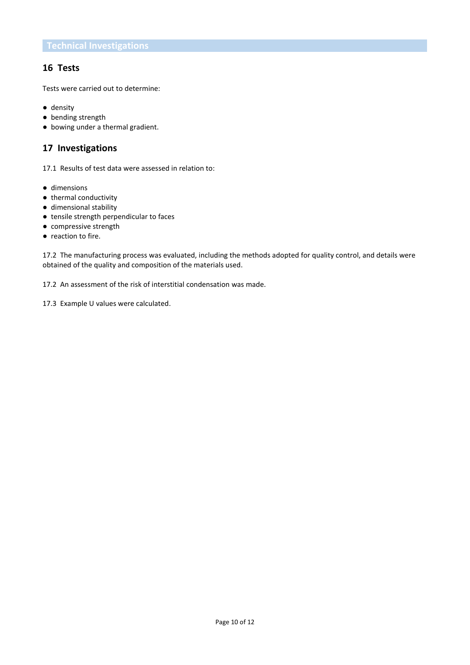## **16 Tests**

Tests were carried out to determine:

- density
- bending strength
- bowing under a thermal gradient.

# **17 Investigations**

17.1 Results of test data were assessed in relation to:

- dimensions
- thermal conductivity
- dimensional stability
- tensile strength perpendicular to faces
- compressive strength
- reaction to fire.

17.2 The manufacturing process was evaluated, including the methods adopted for quality control, and details were obtained of the quality and composition of the materials used.

17.2 An assessment of the risk of interstitial condensation was made.

17.3 Example U values were calculated.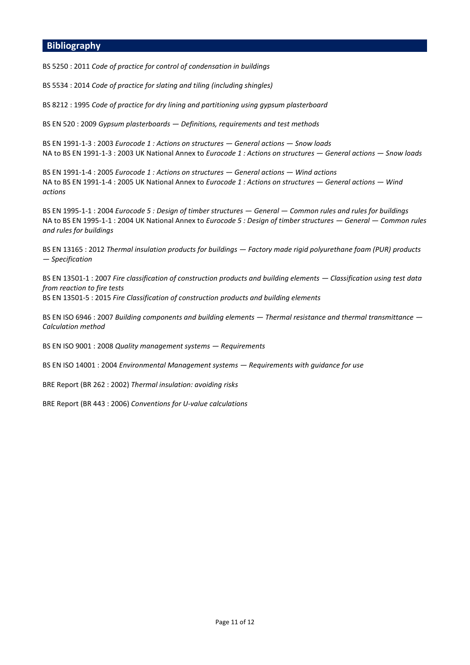#### **Bibliography**

BS 5250 : 2011 *Code of practice for control of condensation in buildings*

BS 5534 : 2014 *Code of practice for slating and tiling (including shingles)*

BS 8212 : 1995 *Code of practice for dry lining and partitioning using gypsum plasterboard*

BS EN 520 : 2009 *Gypsum plasterboards — Definitions, requirements and test methods*

BS EN 1991-1-3 : 2003 *Eurocode 1 : Actions on structures — General actions — Snow loads* NA to BS EN 1991-1-3 : 2003 UK National Annex to *Eurocode 1 : Actions on structures — General actions — Snow loads*

BS EN 1991-1-4 : 2005 *Eurocode 1 : Actions on structures — General actions — Wind actions* NA to BS EN 1991-1-4 : 2005 UK National Annex to *Eurocode 1 : Actions on structures — General actions — Wind actions*

BS EN 1995-1-1 : 2004 *Eurocode 5 : Design of timber structures — General — Common rules and rules for buildings* NA to BS EN 1995-1-1 : 2004 UK National Annex to *Eurocode 5 : Design of timber structures — General — Common rules and rules for buildings*

BS EN 13165 : 2012 *Thermal insulation products for buildings — Factory made rigid polyurethane foam (PUR) products — Specification*

BS EN 13501-1 : 2007 *Fire classification of construction products and building elements — Classification using test data from reaction to fire tests* BS EN 13501-5 : 2015 *Fire Classification of construction products and building elements*

BS EN ISO 6946 : 2007 *Building components and building elements — Thermal resistance and thermal transmittance — Calculation method*

BS EN ISO 9001 : 2008 *Quality management systems — Requirements*

BS EN ISO 14001 : 2004 *Environmental Management systems — Requirements with guidance for use*

BRE Report (BR 262 : 2002) *Thermal insulation: avoiding risks*

BRE Report (BR 443 : 2006) *Conventions for U-value calculations*